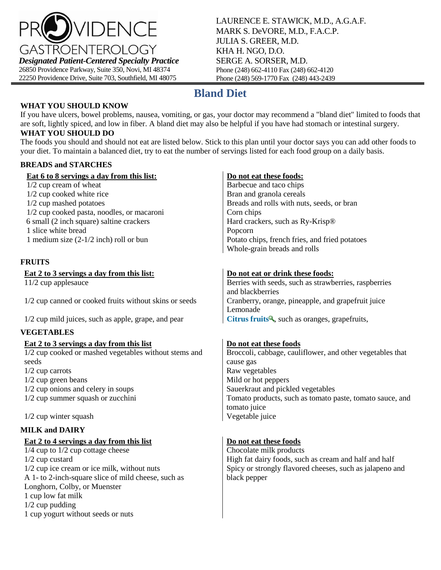

LAURENCE E. STAWICK, M.D., A.G.A.F. MARK S. DeVORE, M.D., F.A.C.P. JULIA S. GREER, M.D. KHA H. NGO, D.O. SERGE A. SORSER, M.D. Phone (248) 662-4110 Fax (248) 662-4120 Phone (248) 569-1770 Fax (248) 443-2439

# **Bland Diet**

### **WHAT YOU SHOULD KNOW**

If you have ulcers, bowel problems, nausea, vomiting, or gas, your doctor may recommend a "bland diet" limited to foods that are soft, lightly spiced, and low in fiber. A bland diet may also be helpful if you have had stomach or intestinal surgery. **WHAT YOU SHOULD DO**

The foods you should and should not eat are listed below. Stick to this plan until your doctor says you can add other foods to your diet. To maintain a balanced diet, try to eat the number of servings listed for each food group on a daily basis.

### **BREADS and STARCHES**

| Eat 6 to 8 servings a day from this list:              | Do not eat these foods:                                    |
|--------------------------------------------------------|------------------------------------------------------------|
| 1/2 cup cream of wheat                                 | Barbecue and taco chips                                    |
| 1/2 cup cooked white rice                              | Bran and granola cereals                                   |
| 1/2 cup mashed potatoes                                | Breads and rolls with nuts, seeds, or bran                 |
| 1/2 cup cooked pasta, noodles, or macaroni             | Corn chips                                                 |
| 6 small (2 inch square) saltine crackers               | Hard crackers, such as Ry-Krisp®                           |
| 1 slice white bread                                    | Popcorn                                                    |
| 1 medium size $(2-1/2$ inch) roll or bun               | Potato chips, french fries, and fried potatoes             |
|                                                        | Whole-grain breads and rolls                               |
| <b>FRUITS</b>                                          |                                                            |
| Eat 2 to 3 servings a day from this list:              | Do not eat or drink these foods:                           |
| $11/2$ cup applesauce                                  | Berries with seeds, such as strawberries, raspberries      |
|                                                        | and blackberries                                           |
| 1/2 cup canned or cooked fruits without skins or seeds | Cranberry, orange, pineapple, and grapefruit juice         |
|                                                        | Lemonade                                                   |
| 1/2 cup mild juices, such as apple, grape, and pear    | Citrus fruits <sup>Q</sup> , such as oranges, grapefruits, |
| <b>VEGETABLES</b>                                      |                                                            |
| Eat 2 to 3 servings a day from this list               | Do not eat these foods                                     |
| 1/2 cup cooked or mashed vegetables without stems and  | Broccoli, cabbage, cauliflower, and other vegetables that  |
| seeds                                                  | cause gas                                                  |
| $1/2$ cup carrots                                      | Raw vegetables                                             |
| $1/2$ cup green beans                                  | Mild or hot peppers                                        |
| 1/2 cup onions and celery in soups                     | Sauerkraut and pickled vegetables                          |
| 1/2 cup summer squash or zucchini                      | Tomato products, such as tomato paste, tomato sauce, and   |
|                                                        | tomato juice                                               |
| 1/2 cup winter squash                                  | Vegetable juice                                            |
| <b>MILK and DAIRY</b>                                  |                                                            |
| Eat 2 to 4 servings a day from this list               | Do not eat these foods                                     |
| $1/4$ cup to $1/2$ cup cottage cheese                  | Chocolate milk products                                    |
| $1/2$ cup custard                                      | High fat dairy foods, such as cream and half and half      |

black pepper

1/2 cup ice cream or ice milk, without nuts Spicy or strongly flavored cheeses, such as jalapeno and A 1- to 2-inch-square slice of mild cheese, such as Longhorn, Colby, or Muenster 1 cup low fat milk 1/2 cup pudding 1 cup yogurt without seeds or nuts